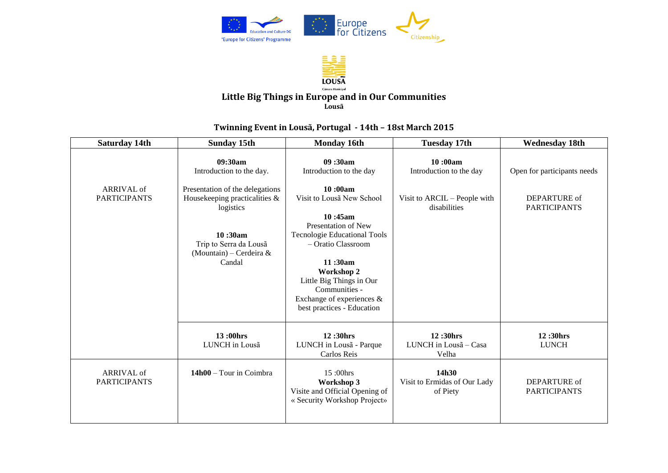



## **Little Big Things in Europe and in Our Communities Lousã**

## **Twinning Event in Lousã, Portugal - 14th – 18st March 2015**

| <b>Saturday 14th</b>              | <b>Sunday 15th</b>                                                                                                                                                                             | <b>Monday 16th</b>                                                                                                                                                                                                                                                                                                   | <b>Tuesday 17th</b>                                                                | <b>Wednesday 18th</b>                                              |
|-----------------------------------|------------------------------------------------------------------------------------------------------------------------------------------------------------------------------------------------|----------------------------------------------------------------------------------------------------------------------------------------------------------------------------------------------------------------------------------------------------------------------------------------------------------------------|------------------------------------------------------------------------------------|--------------------------------------------------------------------|
| ARRIVAL of<br><b>PARTICIPANTS</b> | 09:30am<br>Introduction to the day.<br>Presentation of the delegations<br>Housekeeping practicalities &<br>logistics<br>10:30am<br>Trip to Serra da Lousã<br>(Mountain) – Cerdeira &<br>Candal | 09:30am<br>Introduction to the day<br>10:00am<br>Visit to Lousa New School<br>10:45am<br>Presentation of New<br><b>Tecnologie Educational Tools</b><br>- Oratio Classroom<br>11:30am<br><b>Workshop 2</b><br>Little Big Things in Our<br>Communities -<br>Exchange of experiences $\&$<br>best practices - Education | 10:00am<br>Introduction to the day<br>Visit to ARCIL – People with<br>disabilities | Open for participants needs<br>DEPARTURE of<br><b>PARTICIPANTS</b> |
|                                   | 13:00hrs<br>LUNCH in Lousa                                                                                                                                                                     | 12:30hrs<br>LUNCH in Lousa - Parque<br>Carlos Reis                                                                                                                                                                                                                                                                   | 12:30hrs<br>LUNCH in Lousa - Casa<br>Velha                                         | 12:30hrs<br><b>LUNCH</b>                                           |
| ARRIVAL of<br><b>PARTICIPANTS</b> | 14h00 – Tour in Coimbra                                                                                                                                                                        | 15:00hrs<br>Workshop 3<br>Visite and Official Opening of<br>« Security Workshop Project»                                                                                                                                                                                                                             | 14h30<br>Visit to Ermidas of Our Lady<br>of Piety                                  | DEPARTURE of<br><b>PARTICIPANTS</b>                                |